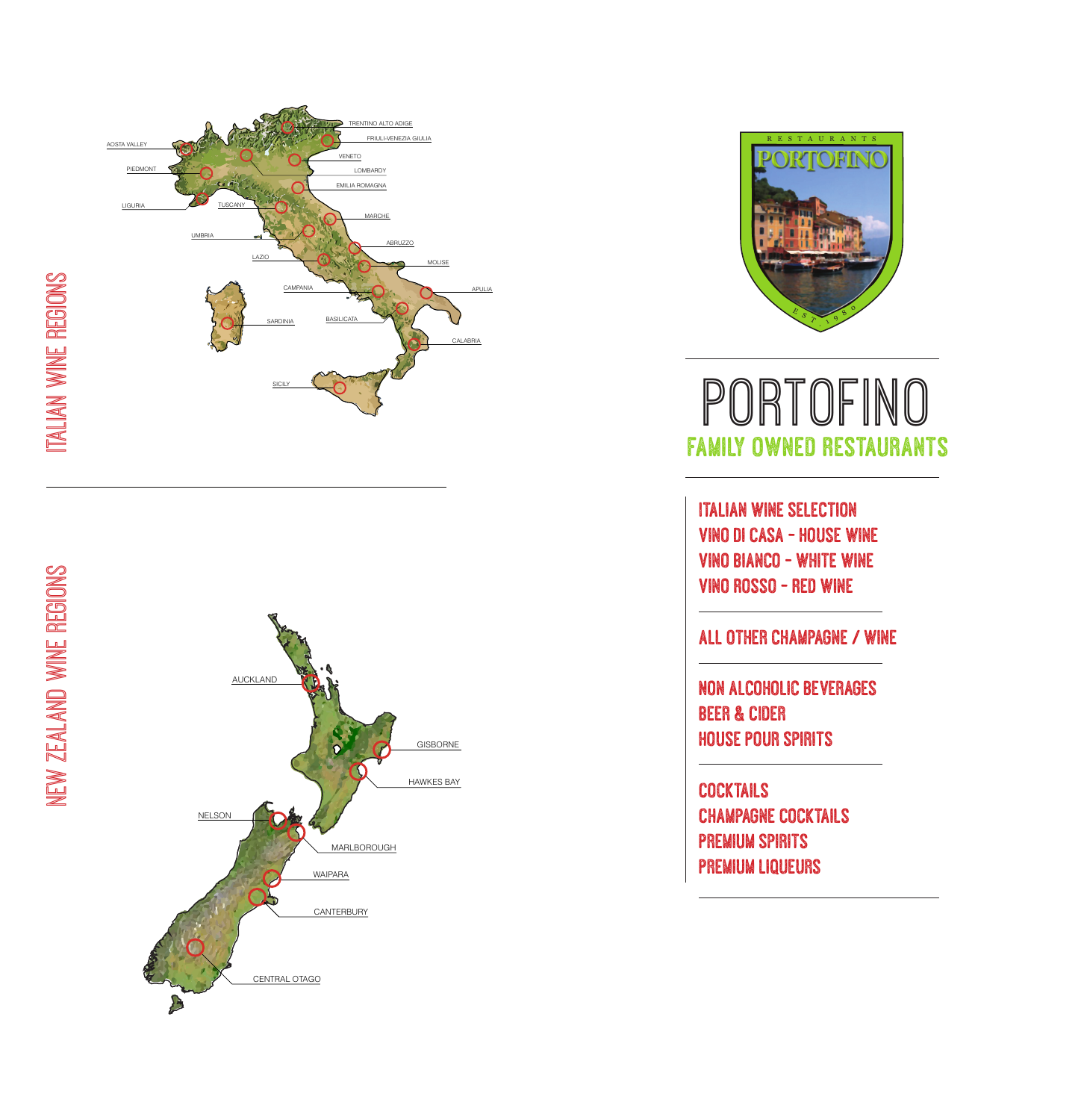





# PORTOFINO Family Owned Restaurants

Italian Wine Selection Vino Di Casa - House Wine Vino Bianco - White Wine Vino Rosso - Red Wine

#### All Other champagne / Wine

Non Alcoholic Beverages Beer & CIder House Pour Spirits

**COCKTAILS** Champagne Cocktails Premium Spirits Premium Liqueurs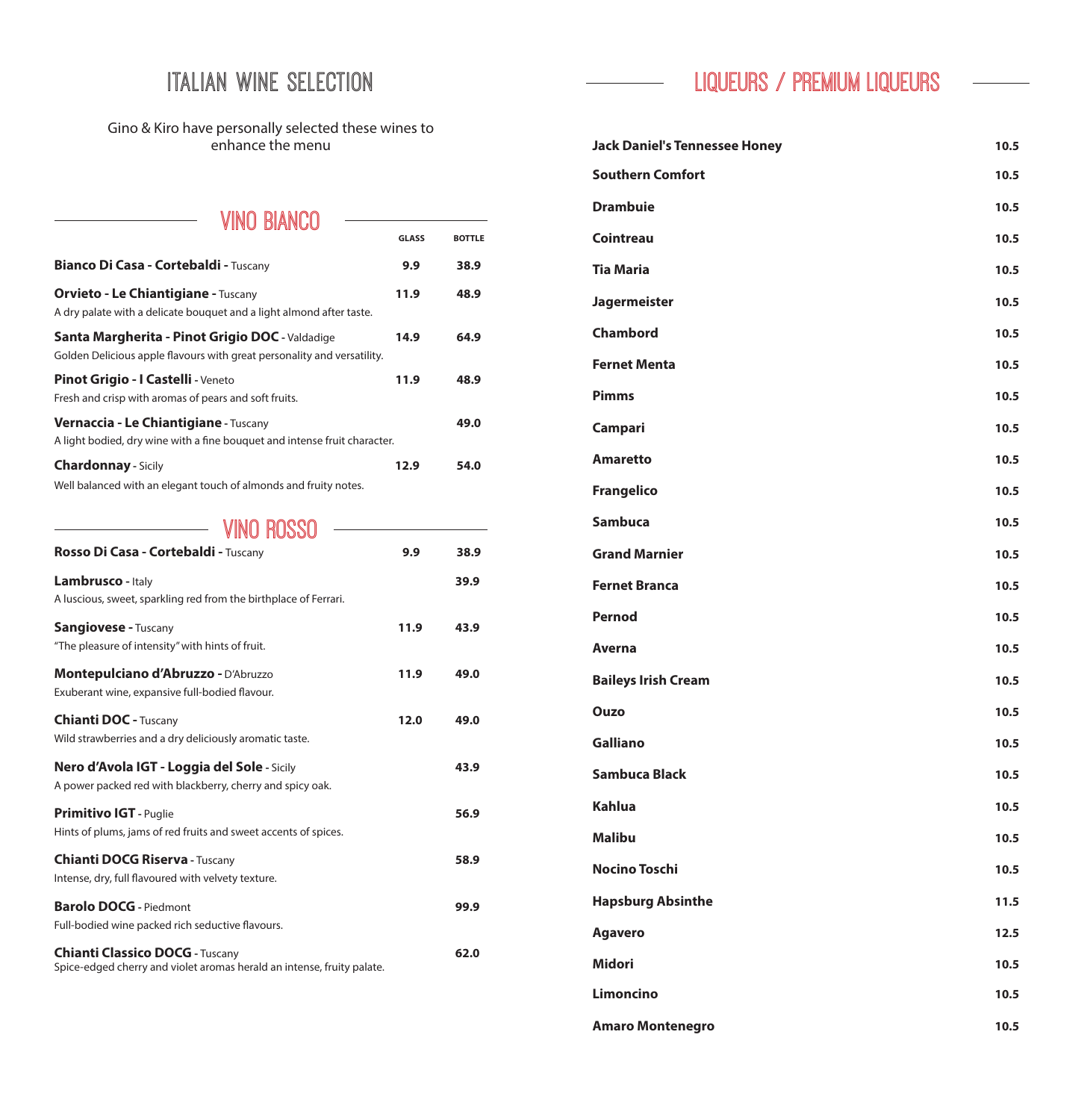#### Italian Wine Selection

Gino & Kiro have personally selected these wines to enhance the menu

#### VINO BIANCO **Bianco Di Casa - Cortebaldi - Tuscany 19.9 <b>9.9 38.9 Orvieto - Le Chiantigiane - Tuscany 11.9 48.9** A dry palate with a delicate bouquet and a light almond after taste. **Santa Margherita - Pinot Grigio DOC -** Valdadige **14.9 64.9** Golden Delicious apple flavours with great personality and versatility. **Pinot Grigio - I Castelli** - Veneto<br>
11.9 **48.9** Fresh and crisp with aromas of pears and soft fruits. **Vernaccia - Le Chiantigiane - Tuscany <b>49.0** 49.0 A light bodied, dry wine with a fine bouquet and intense fruit character. **Chardonnay - Sicily** 12.9 54.0 Well balanced with an elegant touch of almonds and fruity notes. **GLASS BOTTLE**

#### **WIND ROSSO**

| Rosso Di Casa - Cortebaldi - Tuscany                                                                             | 9.9  | 38.9 |
|------------------------------------------------------------------------------------------------------------------|------|------|
| Lambrusco - Italy<br>A luscious, sweet, sparkling red from the birthplace of Ferrari.                            |      | 39.9 |
| <b>Sangiovese - Tuscany</b><br>"The pleasure of intensity" with hints of fruit.                                  | 11.9 | 43.9 |
| Montepulciano d'Abruzzo - D'Abruzzo<br>Exuberant wine, expansive full-bodied flavour.                            | 11.9 | 49.0 |
| <b>Chianti DOC - Tuscany</b><br>Wild strawberries and a dry deliciously aromatic taste.                          | 12.0 | 49.0 |
| Nero d'Avola IGT - Loggia del Sole - Sicily<br>A power packed red with blackberry, cherry and spicy oak.         |      | 43.9 |
| <b>Primitivo IGT</b> - Puglie<br>Hints of plums, jams of red fruits and sweet accents of spices.                 |      | 56.9 |
| <b>Chianti DOCG Riserva - Tuscany</b><br>Intense, dry, full flavoured with velvety texture.                      |      | 58.9 |
| <b>Barolo DOCG</b> - Piedmont<br>Full-bodied wine packed rich seductive flavours.                                |      | 99.9 |
| <b>Chianti Classico DOCG - Tuscany</b><br>Spice-edged cherry and violet aromas herald an intense, fruity palate. |      | 62.0 |

#### LIQUEURS / PREMIUM LIQUEURS

| <b>Jack Daniel's Tennessee Honey</b> | 10.5 |
|--------------------------------------|------|
| <b>Southern Comfort</b>              | 10.5 |
| <b>Drambuie</b>                      | 10.5 |
| <b>Cointreau</b>                     | 10.5 |
| <b>Tia Maria</b>                     | 10.5 |
| <b>Jagermeister</b>                  | 10.5 |
| <b>Chambord</b>                      | 10.5 |
| <b>Fernet Menta</b>                  | 10.5 |
| <b>Pimms</b>                         | 10.5 |
| Campari                              | 10.5 |
| <b>Amaretto</b>                      | 10.5 |
| <b>Frangelico</b>                    | 10.5 |
| <b>Sambuca</b>                       | 10.5 |
| <b>Grand Marnier</b>                 | 10.5 |
| <b>Fernet Branca</b>                 | 10.5 |
| <b>Pernod</b>                        | 10.5 |
| <b>Averna</b>                        | 10.5 |
| <b>Baileys Irish Cream</b>           | 10.5 |
| <b>Ouzo</b>                          | 10.5 |
| <b>Galliano</b>                      | 10.5 |
| <b>Sambuca Black</b>                 | 10.5 |
| <b>Kahlua</b>                        | 10.5 |
| <b>Malibu</b>                        | 10.5 |
| <b>Nocino Toschi</b>                 | 10.5 |
| <b>Hapsburg Absinthe</b>             | 11.5 |
| <b>Agavero</b>                       | 12.5 |
| <b>Midori</b>                        | 10.5 |
| <b>Limoncino</b>                     | 10.5 |
| <b>Amaro Montenegro</b>              | 10.5 |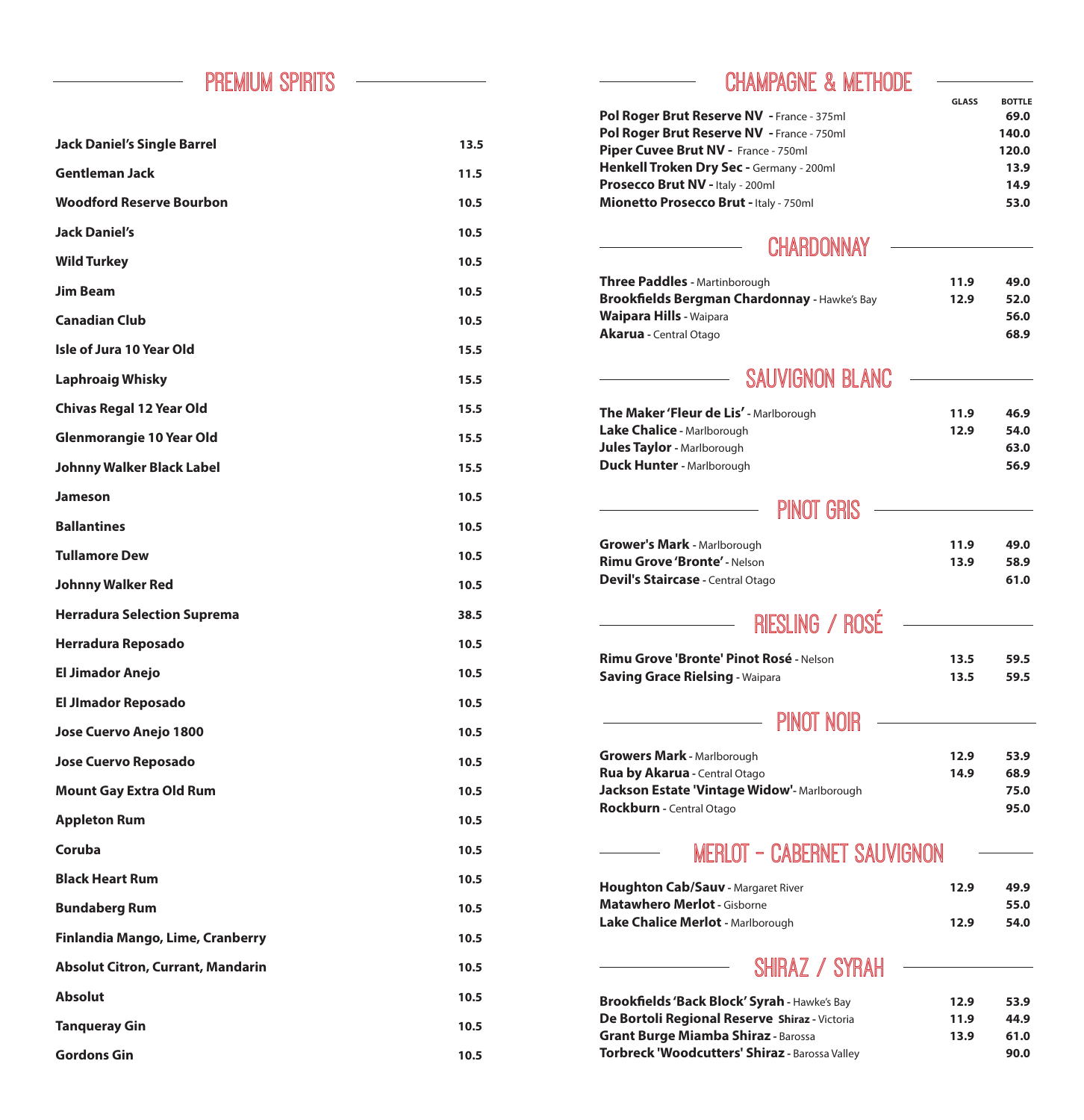#### PREMIUM SPIRITS

| <b>Jack Daniel's Single Barrel</b>       | 13.5 |
|------------------------------------------|------|
| <b>Gentleman Jack</b>                    | 11.5 |
| <b>Woodford Reserve Bourbon</b>          | 10.5 |
| <b>Jack Daniel's</b>                     | 10.5 |
| <b>Wild Turkey</b>                       | 10.5 |
| <b>Jim Beam</b>                          | 10.5 |
| <b>Canadian Club</b>                     | 10.5 |
| <b>Isle of Jura 10 Year Old</b>          | 15.5 |
| <b>Laphroaig Whisky</b>                  | 15.5 |
| <b>Chivas Regal 12 Year Old</b>          | 15.5 |
| <b>Glenmorangie 10 Year Old</b>          | 15.5 |
| <b>Johnny Walker Black Label</b>         | 15.5 |
| <b>Jameson</b>                           | 10.5 |
| <b>Ballantines</b>                       | 10.5 |
| <b>Tullamore Dew</b>                     | 10.5 |
| <b>Johnny Walker Red</b>                 | 10.5 |
| <b>Herradura Selection Suprema</b>       | 38.5 |
| <b>Herradura Reposado</b>                | 10.5 |
| <b>El Jimador Anejo</b>                  | 10.5 |
| <b>El Jimador Reposado</b>               | 10.5 |
| Jose Cuervo Anejo 1800                   | 10.5 |
| <b>Jose Cuervo Reposado</b>              | 10.5 |
| <b>Mount Gay Extra Old Rum</b>           | 10.5 |
| <b>Appleton Rum</b>                      | 10.5 |
| Coruba                                   | 10.5 |
| <b>Black Heart Rum</b>                   | 10.5 |
| <b>Bundaberg Rum</b>                     | 10.5 |
| Finlandia Mango, Lime, Cranberry         | 10.5 |
| <b>Absolut Citron, Currant, Mandarin</b> | 10.5 |
| <b>Absolut</b>                           | 10.5 |
| <b>Tanqueray Gin</b>                     | 10.5 |
| <b>Gordons Gin</b>                       | 10.5 |

#### CHAMPAGNE & METHODE

|                                                                                                      | <b>GLASS</b> | <b>BOTTLE</b> |
|------------------------------------------------------------------------------------------------------|--------------|---------------|
| Pol Roger Brut Reserve NV - France - 375ml                                                           |              | 69.0          |
| Pol Roger Brut Reserve NV - France - 750ml                                                           |              | 140.0         |
| Piper Cuvee Brut NV - France - 750ml                                                                 |              | 120.0         |
| Henkell Troken Dry Sec - Germany - 200ml                                                             |              | 13.9          |
| Prosecco Brut NV - Italy - 200ml                                                                     |              | 14.9          |
| Mionetto Prosecco Brut - Italy - 750ml                                                               |              | 53.0          |
| CHARDONNAY                                                                                           |              |               |
| <b>Three Paddles - Martinborough</b>                                                                 | 11.9         | 49.0          |
| Brookfields Bergman Chardonnay - Hawke's Bay                                                         | 12.9         | 52.0          |
| <b>Waipara Hills - Waipara</b>                                                                       |              | 56.0          |
| Akarua - Central Otago                                                                               |              | 68.9          |
| SAUVIGNON BLANC                                                                                      |              |               |
|                                                                                                      |              |               |
| <b>The Maker 'Fleur de Lis'</b> - Marlborough                                                        | 11.9         | 46.9          |
| Lake Chalice - Marlborough                                                                           | 12.9         | 54.0          |
| <b>Jules Taylor - Marlborough</b>                                                                    |              | 63.0          |
| <b>Duck Hunter - Marlborough</b>                                                                     |              | 56.9          |
| PINOT GRIS                                                                                           |              |               |
| <b>Grower's Mark - Marlborough</b>                                                                   | 11.9         | 49.0          |
| <b>Rimu Grove 'Bronte' - Nelson</b>                                                                  | 13.9         | 58.9          |
| Devil's Staircase - Central Otago                                                                    |              | 61.0          |
|                                                                                                      |              |               |
| RIESLING / ROSE                                                                                      |              |               |
| Rimu Grove 'Bronte' Pinot Rosé - Nelson                                                              | 13.5         | 59.5          |
| <b>Saving Grace Rielsing - Waipara</b>                                                               | 13.5         | 59.5          |
|                                                                                                      |              |               |
| <b>PINOT NOIR</b>                                                                                    |              |               |
| <b>Growers Mark - Marlborough</b>                                                                    | 12.9         | 53.9          |
| Rua by Akarua - Central Otago                                                                        | 14.9         | 68.9          |
| Jackson Estate 'Vintage Widow'- Marlborough                                                          |              | 75.0          |
| Rockburn - Central Otago                                                                             |              | 95.0          |
| MERLOT - CABERNET SAUVIGNON                                                                          |              |               |
| <b>Houghton Cab/Sauv</b> - Margaret River                                                            | 12.9         | 49.9          |
| <b>Matawhero Merlot - Gisborne</b>                                                                   |              | 55.0          |
| Lake Chalice Merlot - Marlborough                                                                    | 12.9         | 54.0          |
| SHIRAZ / SYRAH                                                                                       |              |               |
|                                                                                                      |              |               |
| <b>Brookfields 'Back Block' Syrah - Hawke's Bay</b><br>De Bortoli Regional Reserve Shiraz - Victoria | 12.9<br>11.9 | 53.9<br>44.9  |
| <b>Grant Burge Miamba Shiraz - Barossa</b>                                                           | 13.9         | 61.0          |
| Torbreck 'Woodcutters' Shiraz - Barossa Valley                                                       |              | 90.0          |
|                                                                                                      |              |               |